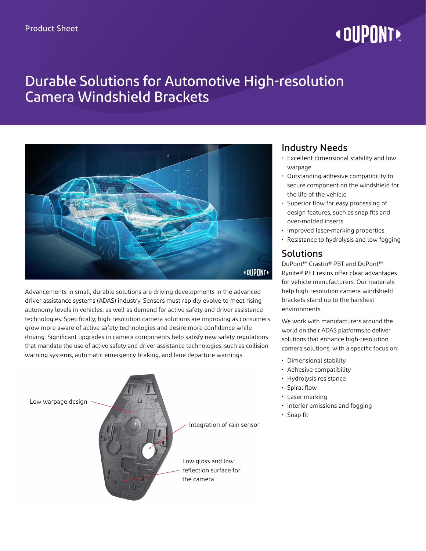# **« DUPONT!**

# Durable Solutions for Automotive High-resolution Camera Windshield Brackets



Advancements in small, durable solutions are driving developments in the advanced driver assistance systems (ADAS) industry. Sensors must rapidly evolve to meet rising autonomy levels in vehicles, as well as demand for active safety and driver assistance technologies. Specifically, high-resolution camera solutions are improving as consumers grow more aware of active safety technologies and desire more confidence while driving. Significant upgrades in camera components help satisfy new safety regulations that mandate the use of active safety and driver assistance technologies, such as collision warning systems, automatic emergency braking, and lane departure warnings.



### Industry Needs

- Excellent dimensional stability and low warpage
- Outstanding adhesive compatibility to secure component on the windshield for the life of the vehicle
- Superior flow for easy processing of design features, such as snap fits and over-molded inserts
- Improved laser-marking properties
- Resistance to hydrolysis and low fogging

#### Solutions

DuPont™ Crastin® PBT and DuPont™ Rynite® PET resins offer clear advantages for vehicle manufacturers. Our materials help high-resolution camera windshield brackets stand up to the harshest environments.

We work with manufacturers around the world on their ADAS platforms to deliver solutions that enhance high-resolution camera solutions, with a specific focus on:

- Dimensional stability
- Adhesive compatibility
- Hydrolysis resistance
- Spiral flow
- Laser marking
- Interior emissions and fogging
- Snap fit